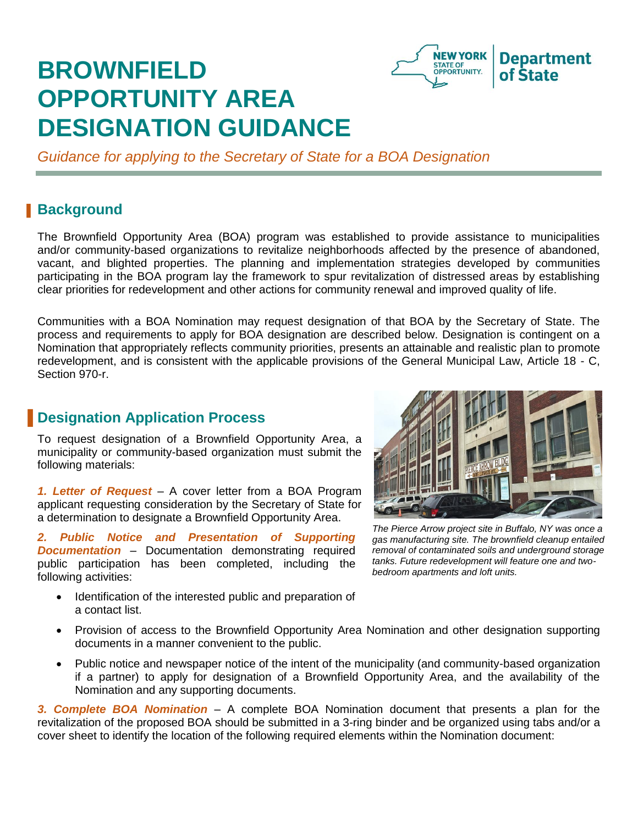# **BROWNFIELD OPPORTUNITY AREA DESIGNATION GUIDANCE**



*Guidance for applying to the Secretary of State for a BOA Designation* 

## **Background**

The Brownfield Opportunity Area (BOA) program was established to provide assistance to municipalities and/or community-based organizations to revitalize neighborhoods affected by the presence of abandoned, vacant, and blighted properties. The planning and implementation strategies developed by communities participating in the BOA program lay the framework to spur revitalization of distressed areas by establishing clear priorities for redevelopment and other actions for community renewal and improved quality of life.

Communities with a BOA Nomination may request designation of that BOA by the Secretary of State. The process and requirements to apply for BOA designation are described below. Designation is contingent on a Nomination that appropriately reflects community priorities, presents an attainable and realistic plan to promote redevelopment, and is consistent with the applicable provisions of the General Municipal Law, Article 18 - C, Section 970-r.

## **B** Designation Application Process

To request designation of a Brownfield Opportunity Area, a municipality or community-based organization must submit the following materials:

*1. Letter of Request* – A cover letter from a BOA Program applicant requesting consideration by the Secretary of State for a determination to designate a Brownfield Opportunity Area.

*2. Public Notice and Presentation of Supporting Documentation* – Documentation demonstrating required public participation has been completed, including the following activities:

 Identification of the interested public and preparation of a contact list.



*The Pierce Arrow project site in Buffalo, NY was once a gas manufacturing site. The brownfield cleanup entailed removal of contaminated soils and underground storage tanks. Future redevelopment will feature one and twobedroom apartments and loft units.*

- Provision of access to the Brownfield Opportunity Area Nomination and other designation supporting documents in a manner convenient to the public.
- Public notice and newspaper notice of the intent of the municipality (and community-based organization if a partner) to apply for designation of a Brownfield Opportunity Area, and the availability of the Nomination and any supporting documents.

*3. Complete BOA Nomination* – A complete BOA Nomination document that presents a plan for the revitalization of the proposed BOA should be submitted in a 3-ring binder and be organized using tabs and/or a cover sheet to identify the location of the following required elements within the Nomination document: